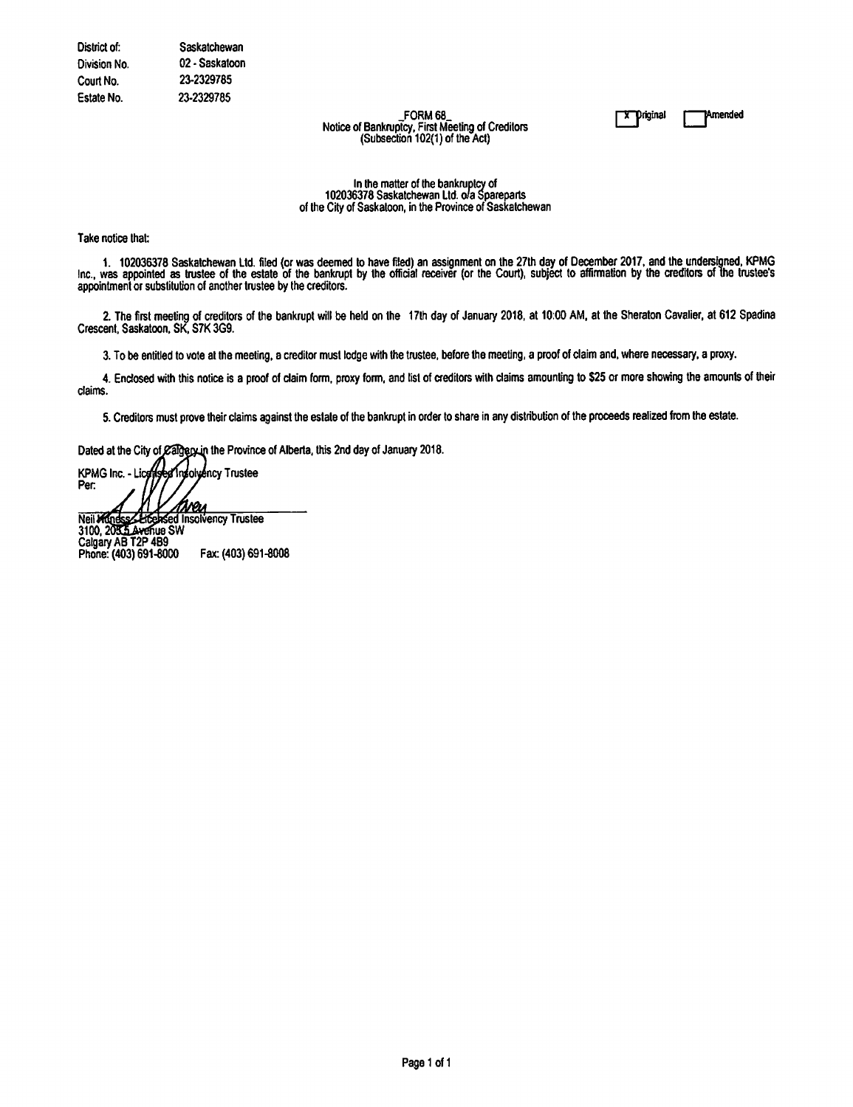FORM 68 Notice of Bankruptcy, First Meeting of Creditors<br>(Subsection 102(1) of the Act) **X** Priginal

**Amended** 

In the matter of the bankruptcy of<br>102036378 Saskatchewan Ltd. o/a Spareparts of the City of Saskatoon, in the Province of Saskatchewan

Take notice that:

1. 102036378 Saskatchewan Ltd. filed (or was deemed to have filed) an assignment on the 27th day of December 2017, and the undersigned, KPMG Inc., was appointed as trustee of the estate of the bankrupt by the official rece appointment or substitution of another trustee by the creditors.

2. The first meeting of creditors of the bankrupt will be held on the 17th day of January 2018, at 10:00 AM, at the Sheraton Cavalier, at 612 Spadina Crescent, Saskatoon, SK, S7K 3G9.

3. To be entitled to vote at the meeting, a creditor must lodge with the trustee, before the meeting, a proof of claim and, where necessary, a proxy.

4. Enclosed with this notice is a proof of claim form, proxy form, and list of creditors with claims amounting to \$25 or more showing the amounts of their claims.

5. Creditors must prove their claims against the estate of the bankrupt in order to share in any distribution of the proceeds realized from the estate.

Dated at the City of Calgery in the Province of Alberta, this 2nd day of January 2018.

Insolyency Trustee **KPMG Inc. - Lice** Per. <u>Ireu</u> Neil Mundss Libersed I<br>3100, 2035 Avenue SW **Litensed Insolvency Trustee** 

Calgary AB T2P 4B9 Phone: (403) 691-8000 Fax: (403) 691-8008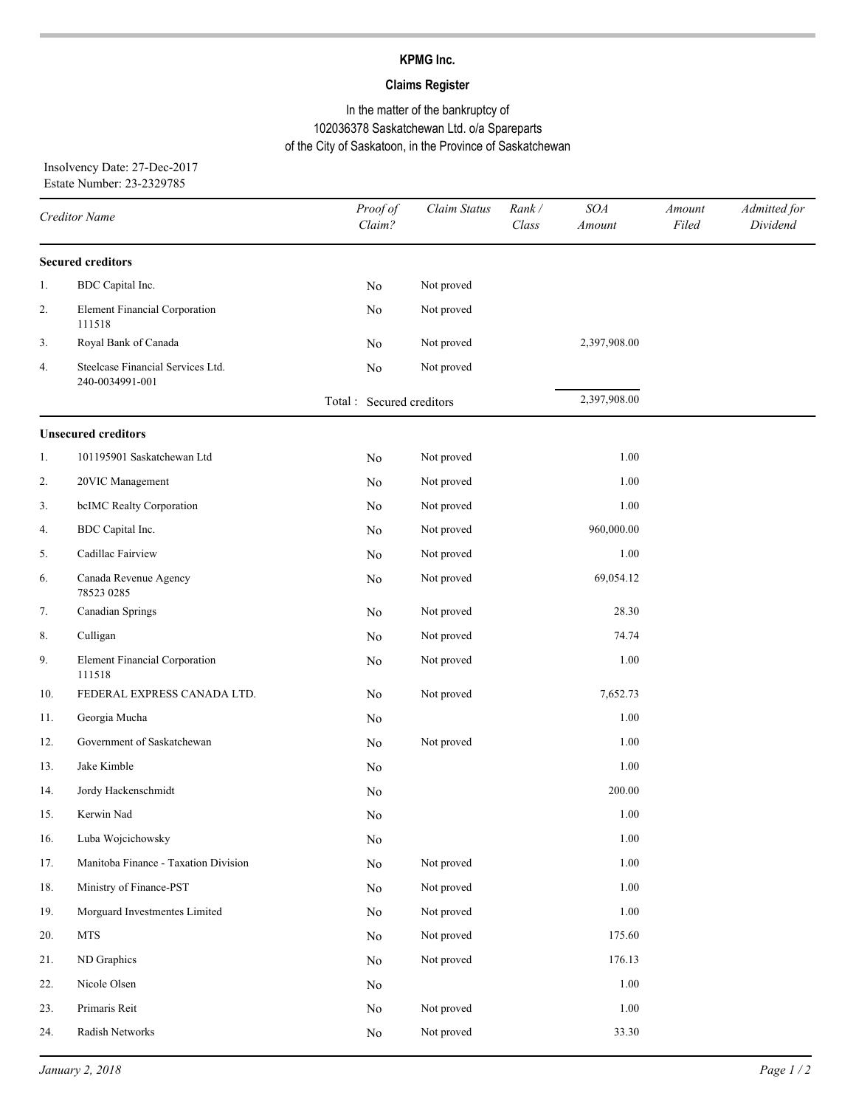# **KPMG Inc.**

# **Claims Register**

# In the matter of the bankruptcy of 102036378 Saskatchewan Ltd. o/a Spareparts of the City of Saskatoon, in the Province of Saskatchewan

Insolvency Date: 27-Dec-2017 Estate Number: 23-2329785

| Creditor Name |                                                      | Proof of<br>Claim?        | Claim Status | Rank/<br>Class | SOA<br><b>Amount</b> | Amount<br>Filed | Admitted for<br>Dividend |
|---------------|------------------------------------------------------|---------------------------|--------------|----------------|----------------------|-----------------|--------------------------|
|               | <b>Secured creditors</b>                             |                           |              |                |                      |                 |                          |
| 1.            | BDC Capital Inc.                                     | No                        | Not proved   |                |                      |                 |                          |
| 2.            | <b>Element Financial Corporation</b><br>111518       | No                        | Not proved   |                |                      |                 |                          |
| 3.            | Royal Bank of Canada                                 | No                        | Not proved   |                | 2,397,908.00         |                 |                          |
| 4.            | Steelcase Financial Services Ltd.<br>240-0034991-001 | No                        | Not proved   |                |                      |                 |                          |
|               |                                                      | Total : Secured creditors |              |                | 2,397,908.00         |                 |                          |
|               | <b>Unsecured creditors</b>                           |                           |              |                |                      |                 |                          |
| 1.            | 101195901 Saskatchewan Ltd                           | No                        | Not proved   |                | 1.00                 |                 |                          |
| 2.            | 20VIC Management                                     | No                        | Not proved   |                | 1.00                 |                 |                          |
| 3.            | bcIMC Realty Corporation                             | No                        | Not proved   |                | 1.00                 |                 |                          |
| 4.            | BDC Capital Inc.                                     | No                        | Not proved   |                | 960,000.00           |                 |                          |
| 5.            | Cadillac Fairview                                    | No                        | Not proved   |                | 1.00                 |                 |                          |
| 6.            | Canada Revenue Agency<br>78523 0285                  | No                        | Not proved   |                | 69,054.12            |                 |                          |
| 7.            | Canadian Springs                                     | No                        | Not proved   |                | 28.30                |                 |                          |
| 8.            | Culligan                                             | No                        | Not proved   |                | 74.74                |                 |                          |
| 9.            | <b>Element Financial Corporation</b><br>111518       | No                        | Not proved   |                | 1.00                 |                 |                          |
| 10.           | FEDERAL EXPRESS CANADA LTD.                          | No                        | Not proved   |                | 7,652.73             |                 |                          |
| 11.           | Georgia Mucha                                        | No                        |              |                | 1.00                 |                 |                          |
| 12.           | Government of Saskatchewan                           | No                        | Not proved   |                | 1.00                 |                 |                          |
| 13.           | Jake Kimble                                          | No                        |              |                | 1.00                 |                 |                          |
| 14.           | Jordy Hackenschmidt                                  | No                        |              |                | 200.00               |                 |                          |
| 15.           | Kerwin Nad                                           | No                        |              |                | 1.00                 |                 |                          |
| 16.           | Luba Wojcichowsky                                    | No                        |              |                | 1.00                 |                 |                          |
| 17.           | Manitoba Finance - Taxation Division                 | $\rm No$                  | Not proved   |                | 1.00                 |                 |                          |
| 18.           | Ministry of Finance-PST                              | $\rm No$                  | Not proved   |                | 1.00                 |                 |                          |
| 19.           | Morguard Investmentes Limited                        | No                        | Not proved   |                | 1.00                 |                 |                          |
| 20.           | <b>MTS</b>                                           | No                        | Not proved   |                | 175.60               |                 |                          |
| 21.           | ND Graphics                                          | No                        | Not proved   |                | 176.13               |                 |                          |
| 22.           | Nicole Olsen                                         | No                        |              |                | 1.00                 |                 |                          |
| 23.           | Primaris Reit                                        | No                        | Not proved   |                | 1.00                 |                 |                          |
| 24.           | Radish Networks                                      | No                        | Not proved   |                | 33.30                |                 |                          |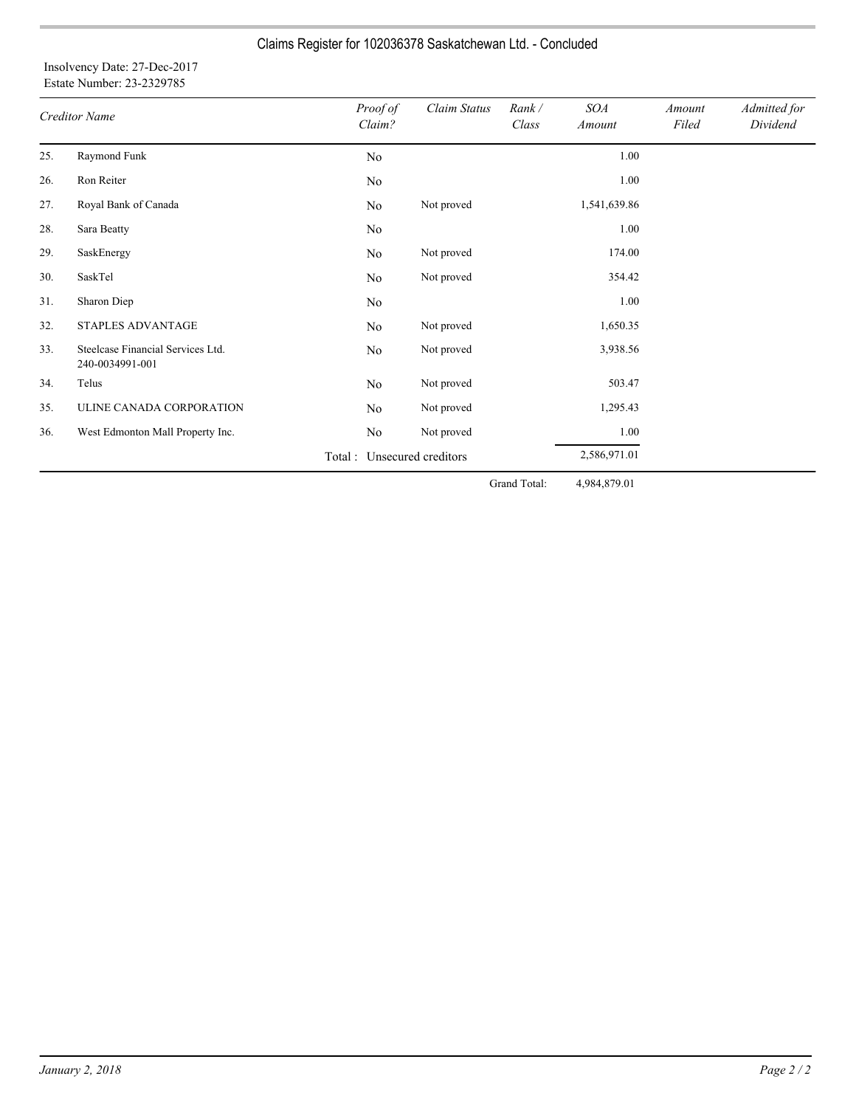# Claims Register for 102036378 Saskatchewan Ltd. - Concluded

## Insolvency Date: 27-Dec-2017 Estate Number: 23-2329785

| <b>Creditor Name</b> |                                                      | Proof of<br>Claim? | Claim Status                | Rank/<br>Class | <b>SOA</b><br>Amount | Amount<br>Filed | Admitted for<br>Dividend |
|----------------------|------------------------------------------------------|--------------------|-----------------------------|----------------|----------------------|-----------------|--------------------------|
| 25.                  | Raymond Funk                                         | No                 |                             |                | 1.00                 |                 |                          |
| 26.                  | Ron Reiter                                           | No                 |                             |                | 1.00                 |                 |                          |
| 27.                  | Royal Bank of Canada                                 | No                 | Not proved                  |                | 1,541,639.86         |                 |                          |
| 28.                  | Sara Beatty                                          | No                 |                             |                | 1.00                 |                 |                          |
| 29.                  | SaskEnergy                                           | No                 | Not proved                  |                | 174.00               |                 |                          |
| 30.                  | SaskTel                                              | No                 | Not proved                  |                | 354.42               |                 |                          |
| 31.                  | Sharon Diep                                          | No                 |                             |                | 1.00                 |                 |                          |
| 32.                  | STAPLES ADVANTAGE                                    | No                 | Not proved                  |                | 1,650.35             |                 |                          |
| 33.                  | Steelcase Financial Services Ltd.<br>240-0034991-001 | No                 | Not proved                  |                | 3,938.56             |                 |                          |
| 34.                  | Telus                                                | No                 | Not proved                  |                | 503.47               |                 |                          |
| 35.                  | ULINE CANADA CORPORATION                             | No                 | Not proved                  |                | 1,295.43             |                 |                          |
| 36.                  | West Edmonton Mall Property Inc.                     | No                 | Not proved                  |                | 1.00                 |                 |                          |
|                      |                                                      |                    | Total : Unsecured creditors |                | 2,586,971.01         |                 |                          |
|                      |                                                      |                    |                             | Grand Total:   | 4,984,879.01         |                 |                          |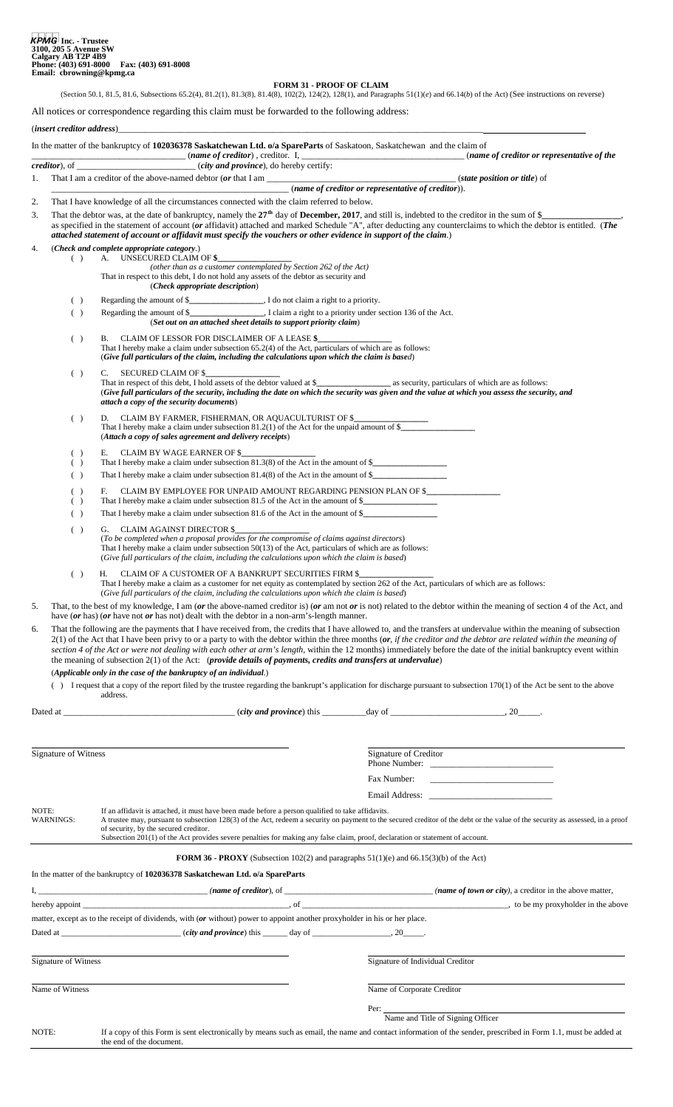#### **FORM 31 - PROOF OF CLAIM**

(Section 50.1, 81.5, 81.6, Subsections 65.2(4), 81.2(1), 81.3(8), 81.4(8), 102(2), 124(2), 128(1), and Paragraphs 51(1)(*e*) and 66.14(*b*) of the Act) (See instructions on reverse)

All notices or correspondence regarding this claim must be forwarded to the following address:

## (*insert creditor address*)\_\_\_\_\_\_\_\_\_\_\_\_\_\_\_\_\_\_\_\_\_\_\_\_\_\_\_\_\_\_\_\_\_\_\_\_\_\_\_\_\_\_\_\_\_\_\_\_\_\_\_\_\_\_\_\_\_\_\_\_\_\_\_\_\_\_\_\_\_\_\_\_\_\_\_\_\_\_\_\_\_\_\_

|                                                                                                                                                                                                                                     |                      | In the matter of the bankruptcy of 102036378 Saskatchewan Ltd. o/a SpareParts of Saskatoon, Saskatchewan and the claim of                                                                                                        |  | $(name of creditor)$ , creditor. I, $\qquad \qquad (name of creditor)$                                                                                                                                                                                                                                                                        |
|-------------------------------------------------------------------------------------------------------------------------------------------------------------------------------------------------------------------------------------|----------------------|----------------------------------------------------------------------------------------------------------------------------------------------------------------------------------------------------------------------------------|--|-----------------------------------------------------------------------------------------------------------------------------------------------------------------------------------------------------------------------------------------------------------------------------------------------------------------------------------------------|
|                                                                                                                                                                                                                                     |                      |                                                                                                                                                                                                                                  |  |                                                                                                                                                                                                                                                                                                                                               |
| 1.                                                                                                                                                                                                                                  |                      | (name of creditor or representative of creditor)).                                                                                                                                                                               |  | ( <i>state position or title</i> ) of                                                                                                                                                                                                                                                                                                         |
| 2.                                                                                                                                                                                                                                  |                      | That I have knowledge of all the circumstances connected with the claim referred to below.                                                                                                                                       |  |                                                                                                                                                                                                                                                                                                                                               |
| 3.                                                                                                                                                                                                                                  |                      |                                                                                                                                                                                                                                  |  | That the debtor was, at the date of bankruptcy, namely the $27th$ day of <b>December, 2017</b> , and still is, indebted to the creditor in the sum of \$_                                                                                                                                                                                     |
|                                                                                                                                                                                                                                     |                      |                                                                                                                                                                                                                                  |  | as specified in the statement of account (or affidavit) attached and marked Schedule "A", after deducting any counterclaims to which the debtor is entitled. (The                                                                                                                                                                             |
|                                                                                                                                                                                                                                     |                      | attached statement of account or affidavit must specify the vouchers or other evidence in support of the claim.)<br>(Check and complete appropriate category.)                                                                   |  |                                                                                                                                                                                                                                                                                                                                               |
| 4.                                                                                                                                                                                                                                  | ( )                  | A. UNSECURED CLAIM OF \$                                                                                                                                                                                                         |  |                                                                                                                                                                                                                                                                                                                                               |
|                                                                                                                                                                                                                                     |                      | (other than as a customer contemplated by Section 262 of the Act)<br>That in respect to this debt, I do not hold any assets of the debtor as security and                                                                        |  |                                                                                                                                                                                                                                                                                                                                               |
|                                                                                                                                                                                                                                     |                      | (Check appropriate description)                                                                                                                                                                                                  |  |                                                                                                                                                                                                                                                                                                                                               |
|                                                                                                                                                                                                                                     | ( )                  |                                                                                                                                                                                                                                  |  |                                                                                                                                                                                                                                                                                                                                               |
|                                                                                                                                                                                                                                     | ( )                  | (Set out on an attached sheet details to support priority claim)                                                                                                                                                                 |  |                                                                                                                                                                                                                                                                                                                                               |
|                                                                                                                                                                                                                                     | $($ )                | B. CLAIM OF LESSOR FOR DISCLAIMER OF A LEASE \$<br>That I hereby make a claim under subsection 65.2(4) of the Act, particulars of which are as follows:                                                                          |  |                                                                                                                                                                                                                                                                                                                                               |
|                                                                                                                                                                                                                                     |                      | (Give full particulars of the claim, including the calculations upon which the claim is based)<br>SECURED CLAIM OF \$<br>C.                                                                                                      |  |                                                                                                                                                                                                                                                                                                                                               |
| ( )<br>(Give full particulars of the security, including the date on which the security was given and the value at which you assess the security, and<br>attach a copy of the security documents)                                   |                      |                                                                                                                                                                                                                                  |  |                                                                                                                                                                                                                                                                                                                                               |
| D. CLAIM BY FARMER, FISHERMAN, OR AQUACULTURIST OF \$<br>( )<br>That I hereby make a claim under subsection $81.2(1)$ of the Act for the unpaid amount of $\frac{2}{1}$<br>(Attach a copy of sales agreement and delivery receipts) |                      |                                                                                                                                                                                                                                  |  |                                                                                                                                                                                                                                                                                                                                               |
|                                                                                                                                                                                                                                     | ( )                  | E. CLAIM BY WAGE EARNER OF \$                                                                                                                                                                                                    |  |                                                                                                                                                                                                                                                                                                                                               |
|                                                                                                                                                                                                                                     | ( )<br>( )           | That I hereby make a claim under subsection $81.3(8)$ of the Act in the amount of \$<br>That I hereby make a claim under subsection $81.4(8)$ of the Act in the amount of \$                                                     |  |                                                                                                                                                                                                                                                                                                                                               |
|                                                                                                                                                                                                                                     |                      |                                                                                                                                                                                                                                  |  |                                                                                                                                                                                                                                                                                                                                               |
|                                                                                                                                                                                                                                     | ( )<br>( )           | CLAIM BY EMPLOYEE FOR UNPAID AMOUNT REGARDING PENSION PLAN OF \$<br>F.<br>That I hereby make a claim under subsection 81.5 of the Act in the amount of \$                                                                        |  |                                                                                                                                                                                                                                                                                                                                               |
|                                                                                                                                                                                                                                     | ( )                  | That I hereby make a claim under subsection 81.6 of the Act in the amount of $\frac{1}{2}$                                                                                                                                       |  |                                                                                                                                                                                                                                                                                                                                               |
|                                                                                                                                                                                                                                     | ( )                  | G. CLAIM AGAINST DIRECTOR \$<br>(To be completed when a proposal provides for the compromise of claims against directors)<br>That I hereby make a claim under subsection 50(13) of the Act, particulars of which are as follows: |  |                                                                                                                                                                                                                                                                                                                                               |
|                                                                                                                                                                                                                                     |                      | (Give full particulars of the claim, including the calculations upon which the claim is based)                                                                                                                                   |  |                                                                                                                                                                                                                                                                                                                                               |
|                                                                                                                                                                                                                                     | ( )                  | H. CLAIM OF A CUSTOMER OF A BANKRUPT SECURITIES FIRM \$<br>(Give full particulars of the claim, including the calculations upon which the claim is based)                                                                        |  | That I hereby make a claim as a customer for net equity as contemplated by section 262 of the Act, particulars of which are as follows:                                                                                                                                                                                                       |
| 5.                                                                                                                                                                                                                                  |                      |                                                                                                                                                                                                                                  |  | That, to the best of my knowledge, I am (or the above-named creditor is) (or am not or is not) related to the debtor within the meaning of section 4 of the Act, and                                                                                                                                                                          |
|                                                                                                                                                                                                                                     |                      | have (or has) (or have not or has not) dealt with the debtor in a non-arm's-length manner.                                                                                                                                       |  |                                                                                                                                                                                                                                                                                                                                               |
| 6.                                                                                                                                                                                                                                  |                      |                                                                                                                                                                                                                                  |  | That the following are the payments that I have received from, the credits that I have allowed to, and the transfers at undervalue within the meaning of subsection                                                                                                                                                                           |
|                                                                                                                                                                                                                                     |                      |                                                                                                                                                                                                                                  |  | $2(1)$ of the Act that I have been privy to or a party to with the debtor within the three months (or, if the creditor and the debtor are related within the meaning of<br>section 4 of the Act or were not dealing with each other at arm's length, within the 12 months) immediately before the date of the initial bankruptcy event within |
|                                                                                                                                                                                                                                     |                      | the meaning of subsection $2(1)$ of the Act: (provide details of payments, credits and transfers at undervalue)                                                                                                                  |  |                                                                                                                                                                                                                                                                                                                                               |
|                                                                                                                                                                                                                                     |                      | (Applicable only in the case of the bankruptcy of an individual.)                                                                                                                                                                |  |                                                                                                                                                                                                                                                                                                                                               |
|                                                                                                                                                                                                                                     |                      | address.                                                                                                                                                                                                                         |  | () I request that a copy of the report filed by the trustee regarding the bankrupt's application for discharge pursuant to subsection 170(1) of the Act be sent to the above                                                                                                                                                                  |
|                                                                                                                                                                                                                                     |                      |                                                                                                                                                                                                                                  |  |                                                                                                                                                                                                                                                                                                                                               |
|                                                                                                                                                                                                                                     |                      |                                                                                                                                                                                                                                  |  |                                                                                                                                                                                                                                                                                                                                               |
|                                                                                                                                                                                                                                     |                      |                                                                                                                                                                                                                                  |  |                                                                                                                                                                                                                                                                                                                                               |
| Signature of Witness                                                                                                                                                                                                                |                      |                                                                                                                                                                                                                                  |  | Signature of Creditor                                                                                                                                                                                                                                                                                                                         |
|                                                                                                                                                                                                                                     |                      |                                                                                                                                                                                                                                  |  | Fax Number:                                                                                                                                                                                                                                                                                                                                   |
|                                                                                                                                                                                                                                     |                      |                                                                                                                                                                                                                                  |  |                                                                                                                                                                                                                                                                                                                                               |
| NOTE:                                                                                                                                                                                                                               |                      | If an affidavit is attached, it must have been made before a person qualified to take affidavits.                                                                                                                                |  |                                                                                                                                                                                                                                                                                                                                               |
|                                                                                                                                                                                                                                     | <b>WARNINGS:</b>     | of security, by the secured creditor.<br>Subsection 201(1) of the Act provides severe penalties for making any false claim, proof, declaration or statement of account.                                                          |  | A trustee may, pursuant to subsection 128(3) of the Act, redeem a security on payment to the secured creditor of the debt or the value of the security as assessed, in a proof                                                                                                                                                                |
|                                                                                                                                                                                                                                     |                      |                                                                                                                                                                                                                                  |  |                                                                                                                                                                                                                                                                                                                                               |
|                                                                                                                                                                                                                                     |                      |                                                                                                                                                                                                                                  |  | <b>FORM 36 - PROXY</b> (Subsection 102(2) and paragraphs $51(1)(e)$ and $66.15(3)(b)$ of the Act)                                                                                                                                                                                                                                             |
|                                                                                                                                                                                                                                     |                      | In the matter of the bankruptcy of 102036378 Saskatchewan Ltd. o/a SpareParts                                                                                                                                                    |  |                                                                                                                                                                                                                                                                                                                                               |
|                                                                                                                                                                                                                                     |                      |                                                                                                                                                                                                                                  |  | $I,$ (name of creditor), of $\frac{I}{I}$ (name of creditor), $\frac{I}{I}$ (name of town or city), a creditor in the above matter,                                                                                                                                                                                                           |
|                                                                                                                                                                                                                                     |                      |                                                                                                                                                                                                                                  |  |                                                                                                                                                                                                                                                                                                                                               |
|                                                                                                                                                                                                                                     |                      | matter, except as to the receipt of dividends, with (or without) power to appoint another proxyholder in his or her place.                                                                                                       |  |                                                                                                                                                                                                                                                                                                                                               |
|                                                                                                                                                                                                                                     |                      |                                                                                                                                                                                                                                  |  |                                                                                                                                                                                                                                                                                                                                               |
|                                                                                                                                                                                                                                     |                      |                                                                                                                                                                                                                                  |  |                                                                                                                                                                                                                                                                                                                                               |
|                                                                                                                                                                                                                                     | Signature of Witness |                                                                                                                                                                                                                                  |  | Signature of Individual Creditor                                                                                                                                                                                                                                                                                                              |
|                                                                                                                                                                                                                                     | Name of Witness      |                                                                                                                                                                                                                                  |  | Name of Corporate Creditor                                                                                                                                                                                                                                                                                                                    |
|                                                                                                                                                                                                                                     |                      |                                                                                                                                                                                                                                  |  |                                                                                                                                                                                                                                                                                                                                               |
|                                                                                                                                                                                                                                     |                      |                                                                                                                                                                                                                                  |  | Per: Name and Title of Signing Officer                                                                                                                                                                                                                                                                                                        |
| NOTE:                                                                                                                                                                                                                               |                      |                                                                                                                                                                                                                                  |  | If a copy of this Form is sent electronically by means such as email, the name and contact information of the sender, prescribed in Form 1.1, must be added at                                                                                                                                                                                |
|                                                                                                                                                                                                                                     |                      | the end of the document.                                                                                                                                                                                                         |  |                                                                                                                                                                                                                                                                                                                                               |
|                                                                                                                                                                                                                                     |                      |                                                                                                                                                                                                                                  |  |                                                                                                                                                                                                                                                                                                                                               |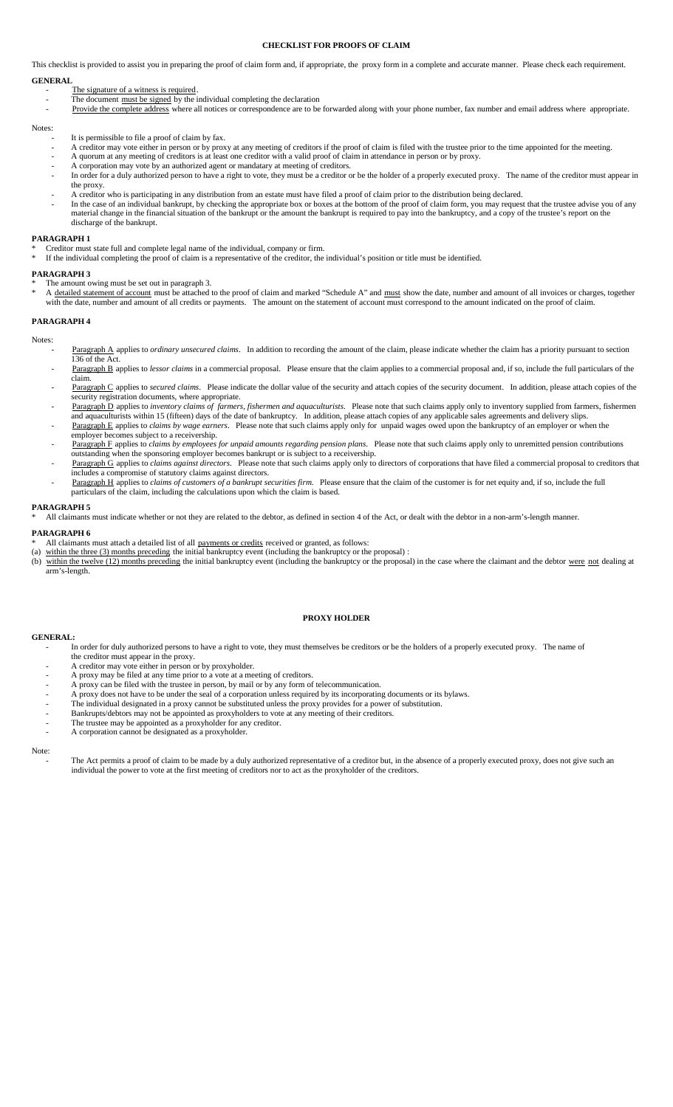## **CHECKLIST FOR PROOFS OF CLAIM**

This checklist is provided to assist you in preparing the proof of claim form and, if appropriate, the proxy form in a complete and accurate manner. Please check each requirement. **GENERAL**

- The signature of a witness is required.
- The document must be signed by the individual completing the declaration
- Provide the complete address where all notices or correspondence are to be forwarded along with your phone number, fax number and email address where appropriate.

#### Notes:

- It is permissible to file a proof of claim by fax.
- A creditor may vote either in person or by proxy at any meeting of creditors if the proof of claim is filed with the trustee prior to the time appointed for the meeting.
- A quorum at any meeting of creditors is at least one creditor with a valid proof of claim in attendance in person or by proxy.
- A corporation may vote by an authorized agent or mandatary at meeting of creditors.
- In order for a duly authorized person to have a right to vote, they must be a creditor or be the holder of a properly executed proxy. The name of the creditor must appear in the proxy.
- A creditor who is participating in any distribution from an estate must have filed a proof of claim prior to the distribution being declared. In the case of an individual bankrupt, by checking the appropriate box or boxes at the bottom of the proof of claim form, you may request that the trustee advise you of any material change in the financial situation of the bankrupt or the amount the bankrupt is required to pay into the bankruptcy, and a copy of the trustee's report on the discharge of the bankrupt.

#### **PARAGRAPH 1**

- \* Creditor must state full and complete legal name of the individual, company or firm.
- If the individual completing the proof of claim is a representative of the creditor, the individual's position or title must be identified.

#### **PARAGRAPH 3**

- The amount owing must be set out in paragraph 3.
- \* A detailed statement of account must be attached to the proof of claim and marked "Schedule A" and must show the date, number and amount of all invoices or charges, together with the date, number and amount of all credits or payments. The amount on the statement of account must correspond to the amount indicated on the proof of claim.

### **PARAGRAPH 4**

Notes:

- Paragraph A applies to *ordinary unsecured claims*. In addition to recording the amount of the claim, please indicate whether the claim has a priority pursuant to section 136 of the Act.
	- Paragraph B applies to *lessor claims* in a commercial proposal. Please ensure that the claim applies to a commercial proposal and, if so, include the full particulars of the claim.
	- Paragraph C applies to *secured claims*. Please indicate the dollar value of the security and attach copies of the security document. In addition, please attach copies of the security registration documents, where appropriate.
	- Paragraph D applies to *inventory claims of farmers, fishermen and aquaculturists*. Please note that such claims apply only to inventory supplied from farmers, fishermen and aquaculturists within 15 (fifteen) days of the date of bankruptcy. In addition, please attach copies of any applicable sales agreements and delivery slips.
	- Paragraph E applies to *claims by wage earners*. Please note that such claims apply only for unpaid wages owed upon the bankruptcy of an employer or when the employer becomes subject to a receivership.
	- Paragraph F applies to *claims by employees for unpaid amounts regarding pension plans*. Please note that such claims apply only to unremitted pension contributions outstanding when the sponsoring employer becomes bankrupt or is subject to a receivership.
	- Paragraph G applies to *claims against directors*. Please note that such claims apply only to directors of corporations that have filed a commercial proposal to creditors that **Example 2** approx to claims against all celebrary reals not includes a compromise of statutory claims against directors.
	- Paragraph H applies to *claims of customers of a bankrupt securities firm*. Please ensure that the claim of the customer is for net equity and, if so, include the full particulars of the claim, including the calculations upon which the claim is based.

#### **PARAGRAPH 5**

All claimants must indicate whether or not they are related to the debtor, as defined in section 4 of the Act, or dealt with the debtor in a non-arm's-length manner.

#### **PARAGRAPH 6**

- All claimants must attach a detailed list of all payments or credits received or granted, as follows:
- (a) within the three  $(3)$  months preceding the initial bankruptcy event (including the bankruptcy or the proposal) :
- (b) within the twelve (12) months preceding the initial bankruptcy event (including the bankruptcy or the proposal) in the case where the claimant and the debtor were not dealing at arm's-length.

#### **PROXY HOLDER**

#### **GENERAL:**

- In order for duly authorized persons to have a right to vote, they must themselves be creditors or be the holders of a properly executed proxy. The name of the creditor must appear in the proxy.
- A creditor may vote either in person or by proxyholder.
- A proxy may be filed at any time prior to a vote at a meeting of creditors.
- A proxy can be filed with the trustee in person, by mail or by any form of telecommunication.
- A proxy does not have to be under the seal of a corporation unless required by its incorporating documents or its bylaws.
- The individual designated in a proxy cannot be substituted unless the proxy provides for a power of substitution.
- Bankrupts/debtors may not be appointed as proxyholders to vote at any meeting of their creditors.
- The trustee may be appointed as a proxyholder for any creditor. A corporation cannot be designated as a proxyholder.

Note:

The Act permits a proof of claim to be made by a duly authorized representative of a creditor but, in the absence of a properly executed proxy, does not give such an individual the power to vote at the first meeting of creditors nor to act as the proxyholder of the creditors.